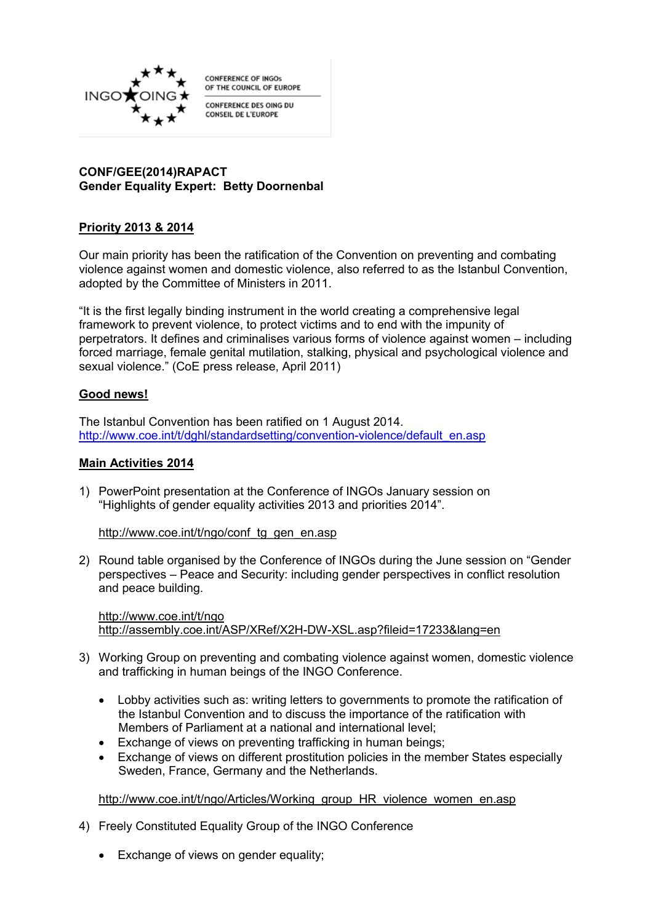

**CONFERENCE OF INGOS** OF THE COUNCIL OF EUROPE

CONFERENCE DES OING DU CONSEIL DE L'EUROPE

### **CONF/GEE(2014)RAPACT Gender Equality Expert: Betty Doornenbal**

# **Priority 2013 & 2014**

Our main priority has been the ratification of the Convention on preventing and combating violence against women and domestic violence, also referred to as the Istanbul Convention, adopted by the Committee of Ministers in 2011.

"It is the first legally binding instrument in the world creating a comprehensive legal framework to prevent violence, to protect victims and to end with the impunity of perpetrators. It defines and criminalises various forms of violence against women – including forced marriage, female genital mutilation, stalking, physical and psychological violence and sexual violence." (CoE press release, April 2011)

## **Good news!**

The Istanbul Convention has been ratified on 1 August 2014. [http://www.coe.int/t/dghl/standardsetting/convention-violence/default\\_en.asp](http://www.coe.int/t/dghl/standardsetting/convention-violence/default_en.asp)

### **Main Activities 2014**

1) PowerPoint presentation at the Conference of INGOs January session on "Highlights of gender equality activities 2013 and priorities 2014".

[http://www.coe.int/t/ngo/conf\\_tg\\_gen\\_en.asp](http://www.coe.int/t/ngo/conf_tg_gen_en.asp)

2) Round table organised by the Conference of INGOs during the June session on "Gender perspectives – Peace and Security: including gender perspectives in conflict resolution and peace building.

http://www.coe.int/t/ngo <http://assembly.coe.int/ASP/XRef/X2H-DW-XSL.asp?fileid=17233&lang=en>

- 3) Working Group on preventing and combating violence against women, domestic violence and trafficking in human beings of the INGO Conference.
	- Lobby activities such as: writing letters to governments to promote the ratification of the Istanbul Convention and to discuss the importance of the ratification with Members of Parliament at a national and international level;
	- Exchange of views on preventing trafficking in human beings;
	- Exchange of views on different prostitution policies in the member States especially Sweden, France, Germany and the Netherlands.

[http://www.coe.int/t/ngo/Articles/Working\\_group\\_HR\\_violence\\_women\\_en.asp](http://www.coe.int/t/ngo/Articles/Working_group_HR_violence_women_en.asp)

- 4) Freely Constituted Equality Group of the INGO Conference
	- Exchange of views on gender equality: